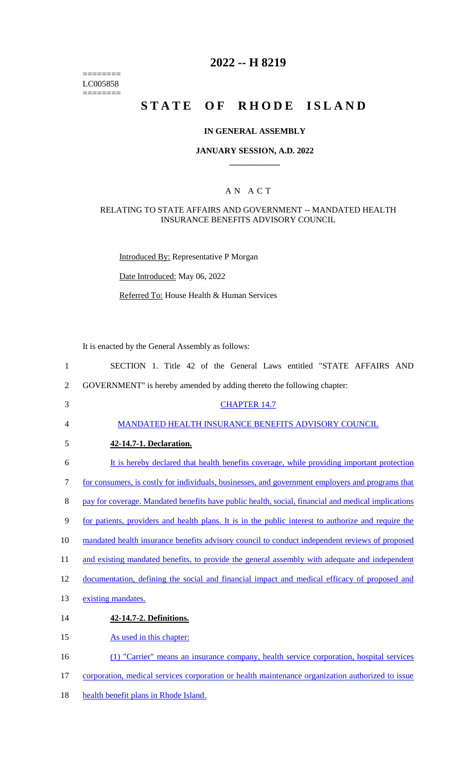======== LC005858  $=$ 

# **2022 -- H 8219**

# **STATE OF RHODE ISLAND**

### **IN GENERAL ASSEMBLY**

### **JANUARY SESSION, A.D. 2022 \_\_\_\_\_\_\_\_\_\_\_\_**

### A N A C T

#### RELATING TO STATE AFFAIRS AND GOVERNMENT -- MANDATED HEALTH INSURANCE BENEFITS ADVISORY COUNCIL

Introduced By: Representative P Morgan

Date Introduced: May 06, 2022

Referred To: House Health & Human Services

It is enacted by the General Assembly as follows:

| $\mathbf{1}$   | SECTION 1. Title 42 of the General Laws entitled "STATE AFFAIRS AND                                 |
|----------------|-----------------------------------------------------------------------------------------------------|
| $\overline{2}$ | GOVERNMENT" is hereby amended by adding thereto the following chapter:                              |
| 3              | <b>CHAPTER 14.7</b>                                                                                 |
| $\overline{4}$ | MANDATED HEALTH INSURANCE BENEFITS ADVISORY COUNCIL                                                 |
| 5              | 42-14.7-1. Declaration.                                                                             |
| 6              | It is hereby declared that health benefits coverage, while providing important protection           |
| $\tau$         | for consumers, is costly for individuals, businesses, and government employers and programs that    |
| 8              | pay for coverage. Mandated benefits have public health, social, financial and medical implications  |
| 9              | for patients, providers and health plans. It is in the public interest to authorize and require the |
| 10             | mandated health insurance benefits advisory council to conduct independent reviews of proposed      |
| 11             | and existing mandated benefits, to provide the general assembly with adequate and independent       |
| 12             | documentation, defining the social and financial impact and medical efficacy of proposed and        |
| 13             | existing mandates.                                                                                  |
| 14             | 42-14.7-2. Definitions.                                                                             |
| 15             | As used in this chapter:                                                                            |
| 16             | (1) "Carrier" means an insurance company, health service corporation, hospital services             |
| 17             | corporation, medical services corporation or health maintenance organization authorized to issue    |
| 18             | health benefit plans in Rhode Island.                                                               |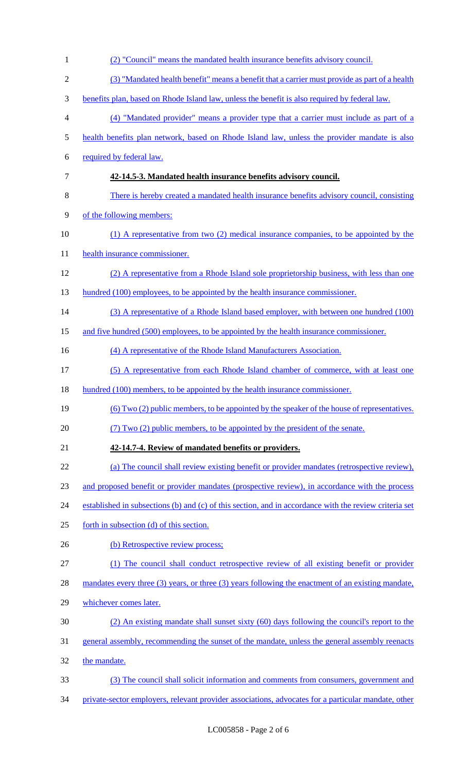| $\mathbf{1}$   | (2) "Council" means the mandated health insurance benefits advisory council.                           |
|----------------|--------------------------------------------------------------------------------------------------------|
| $\overline{2}$ | (3) "Mandated health benefit" means a benefit that a carrier must provide as part of a health          |
| 3              | benefits plan, based on Rhode Island law, unless the benefit is also required by federal law.          |
| $\overline{4}$ | (4) "Mandated provider" means a provider type that a carrier must include as part of a                 |
| 5              | health benefits plan network, based on Rhode Island law, unless the provider mandate is also           |
| 6              | required by federal law.                                                                               |
| 7              | 42-14.5-3. Mandated health insurance benefits advisory council.                                        |
| 8              | There is hereby created a mandated health insurance benefits advisory council, consisting              |
| 9              | of the following members:                                                                              |
| 10             | (1) A representative from two (2) medical insurance companies, to be appointed by the                  |
| 11             | health insurance commissioner.                                                                         |
| 12             | (2) A representative from a Rhode Island sole proprietorship business, with less than one              |
| 13             | hundred (100) employees, to be appointed by the health insurance commissioner.                         |
| 14             | (3) A representative of a Rhode Island based employer, with between one hundred (100)                  |
| 15             | and five hundred (500) employees, to be appointed by the health insurance commissioner.                |
| 16             | (4) A representative of the Rhode Island Manufacturers Association.                                    |
| 17             | (5) A representative from each Rhode Island chamber of commerce, with at least one                     |
| 18             | hundred (100) members, to be appointed by the health insurance commissioner.                           |
| 19             | (6) Two (2) public members, to be appointed by the speaker of the house of representatives.            |
| 20             | (7) Two (2) public members, to be appointed by the president of the senate.                            |
| 21             | 42-14.7-4. Review of mandated benefits or providers.                                                   |
| 22             | (a) The council shall review existing benefit or provider mandates (retrospective review),             |
| 23             | and proposed benefit or provider mandates (prospective review), in accordance with the process         |
| 24             | established in subsections (b) and (c) of this section, and in accordance with the review criteria set |
| 25             | forth in subsection (d) of this section.                                                               |
| 26             | (b) Retrospective review process;                                                                      |
| 27             | The council shall conduct retrospective review of all existing benefit or provider                     |
| 28             | mandates every three (3) years, or three (3) years following the enactment of an existing mandate,     |
| 29             | whichever comes later.                                                                                 |
| 30             | (2) An existing mandate shall sunset sixty (60) days following the council's report to the             |
| 31             | general assembly, recommending the sunset of the mandate, unless the general assembly reenacts         |
| 32             | the mandate.                                                                                           |
| 33             | (3) The council shall solicit information and comments from consumers, government and                  |
| 34             | private-sector employers, relevant provider associations, advocates for a particular mandate, other    |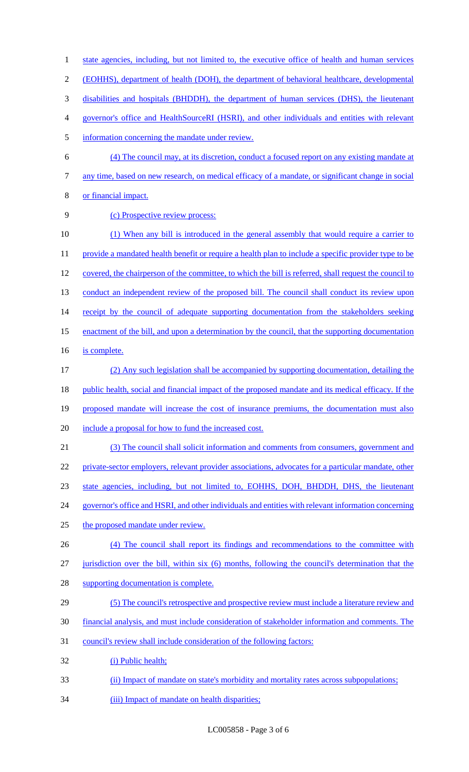1 state agencies, including, but not limited to, the executive office of health and human services (EOHHS), department of health (DOH), the department of behavioral healthcare, developmental disabilities and hospitals (BHDDH), the department of human services (DHS), the lieutenant governor's office and HealthSourceRI (HSRI), and other individuals and entities with relevant information concerning the mandate under review. (4) The council may, at its discretion, conduct a focused report on any existing mandate at any time, based on new research, on medical efficacy of a mandate, or significant change in social or financial impact. (c) Prospective review process: (1) When any bill is introduced in the general assembly that would require a carrier to 11 provide a mandated health benefit or require a health plan to include a specific provider type to be 12 covered, the chairperson of the committee, to which the bill is referred, shall request the council to 13 conduct an independent review of the proposed bill. The council shall conduct its review upon 14 receipt by the council of adequate supporting documentation from the stakeholders seeking enactment of the bill, and upon a determination by the council, that the supporting documentation is complete. (2) Any such legislation shall be accompanied by supporting documentation, detailing the 18 public health, social and financial impact of the proposed mandate and its medical efficacy. If the proposed mandate will increase the cost of insurance premiums, the documentation must also include a proposal for how to fund the increased cost. (3) The council shall solicit information and comments from consumers, government and private-sector employers, relevant provider associations, advocates for a particular mandate, other state agencies, including, but not limited to, EOHHS, DOH, BHDDH, DHS, the lieutenant governor's office and HSRI, and other individuals and entities with relevant information concerning the proposed mandate under review. (4) The council shall report its findings and recommendations to the committee with 27 jurisdiction over the bill, within six (6) months, following the council's determination that the supporting documentation is complete. (5) The council's retrospective and prospective review must include a literature review and financial analysis, and must include consideration of stakeholder information and comments. The council's review shall include consideration of the following factors: (i) Public health; (ii) Impact of mandate on state's morbidity and mortality rates across subpopulations; 34 (iii) Impact of mandate on health disparities;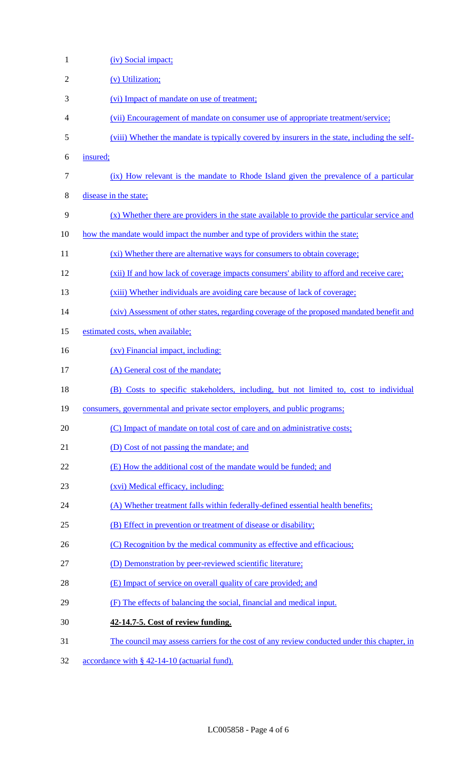| $\mathbf{1}$   | (iv) Social impact;                                                                            |
|----------------|------------------------------------------------------------------------------------------------|
| $\overline{2}$ | (v) Utilization;                                                                               |
| 3              | (vi) Impact of mandate on use of treatment;                                                    |
| 4              | (vii) Encouragement of mandate on consumer use of appropriate treatment/service;               |
| 5              | (viii) Whether the mandate is typically covered by insurers in the state, including the self-  |
| 6              | insured;                                                                                       |
| 7              | (ix) How relevant is the mandate to Rhode Island given the prevalence of a particular          |
| 8              | disease in the state;                                                                          |
| 9              | $(x)$ Whether there are providers in the state available to provide the particular service and |
| 10             | how the mandate would impact the number and type of providers within the state;                |
| 11             | (xi) Whether there are alternative ways for consumers to obtain coverage;                      |
| 12             | (xii) If and how lack of coverage impacts consumers' ability to afford and receive care;       |
| 13             | (xiii) Whether individuals are avoiding care because of lack of coverage;                      |
| 14             | (xiv) Assessment of other states, regarding coverage of the proposed mandated benefit and      |
| 15             | estimated costs, when available;                                                               |
| 16             | (xv) Financial impact, including:                                                              |
| 17             | (A) General cost of the mandate;                                                               |
| 18             | (B) Costs to specific stakeholders, including, but not limited to, cost to individual          |
| 19             | consumers, governmental and private sector employers, and public programs;                     |
| 20             | (C) Impact of mandate on total cost of care and on administrative costs;                       |
| 21             | (D) Cost of not passing the mandate; and                                                       |
| 22             | (E) How the additional cost of the mandate would be funded; and                                |
| 23             | (xvi) Medical efficacy, including:                                                             |
| 24             | (A) Whether treatment falls within federally-defined essential health benefits;                |
| 25             | (B) Effect in prevention or treatment of disease or disability;                                |
| 26             | (C) Recognition by the medical community as effective and efficacious;                         |
| 27             | (D) Demonstration by peer-reviewed scientific literature;                                      |
| 28             | (E) Impact of service on overall quality of care provided; and                                 |
| 29             | (F) The effects of balancing the social, financial and medical input.                          |
| 30             | 42-14.7-5. Cost of review funding.                                                             |
| 31             | The council may assess carriers for the cost of any review conducted under this chapter, in    |
| 32             | accordance with $\S$ 42-14-10 (actuarial fund).                                                |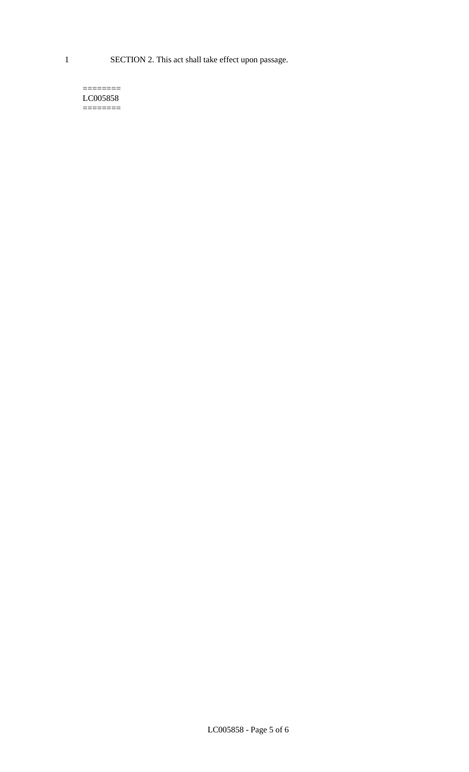1 SECTION 2. This act shall take effect upon passage.

#### $=$ LC005858  $=$